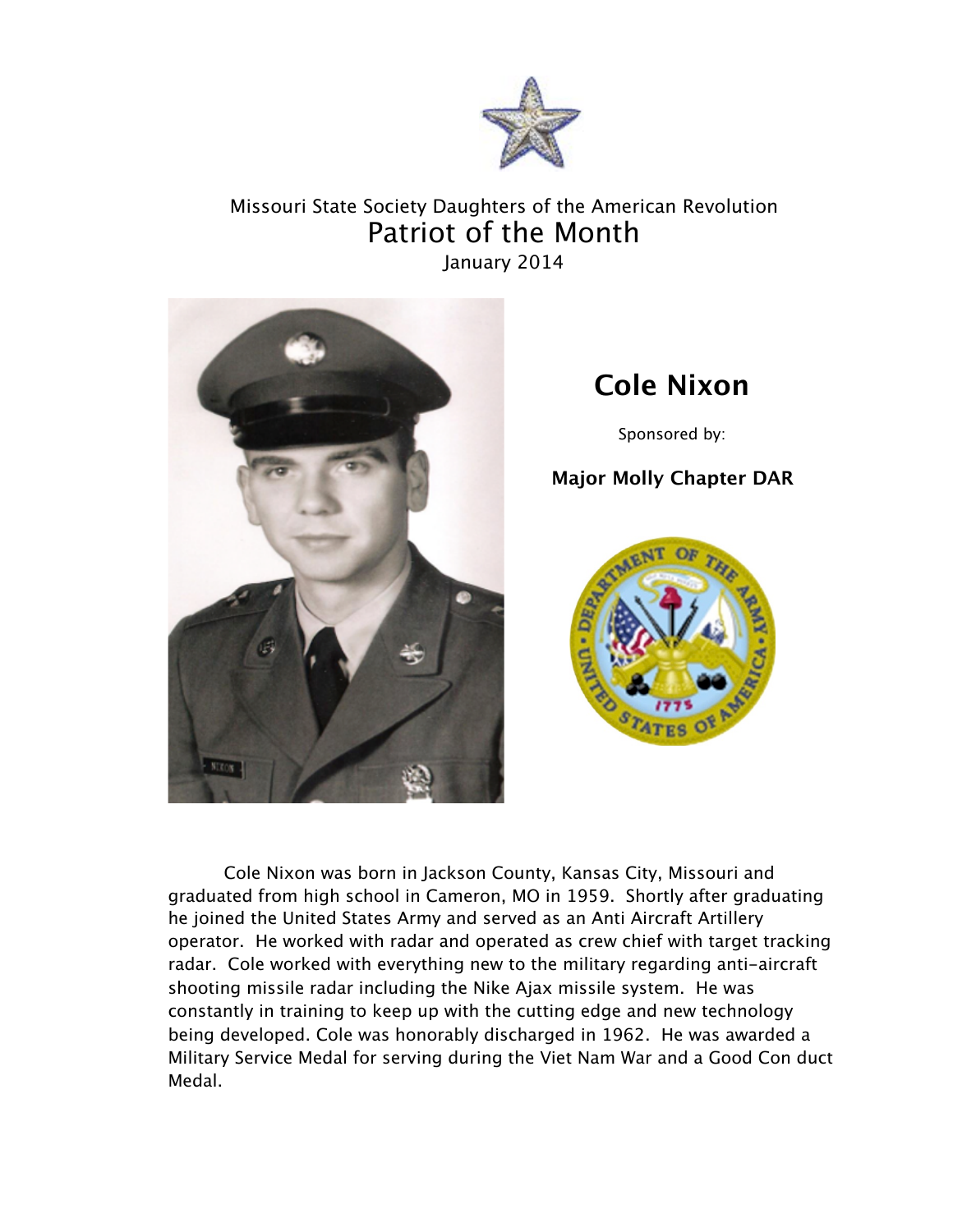

## Missouri State Society Daughters of the American Revolution Patriot of the Month January 2014



## **Cole Nixon**

Sponsored by:

## **Major Molly Chapter DAR**



Cole Nixon was born in Jackson County, Kansas City, Missouri and graduated from high school in Cameron, MO in 1959. Shortly after graduating he joined the United States Army and served as an Anti Aircraft Artillery operator. He worked with radar and operated as crew chief with target tracking radar. Cole worked with everything new to the military regarding anti-aircraft shooting missile radar including the Nike Ajax missile system. He was constantly in training to keep up with the cutting edge and new technology being developed. Cole was honorably discharged in 1962. He was awarded a Military Service Medal for serving during the Viet Nam War and a Good Con duct Medal.